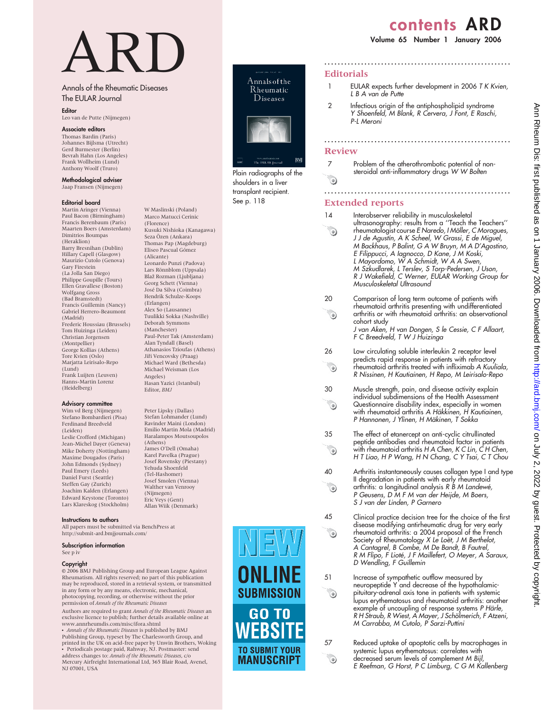# contents ARD

Volume 65 Number 1 January 2006

# ARD

W Maslinski (Poland) Marco Matucci Cerinic (Florence)

Kusuki Nishioka (Kanagawa) Seza Özen (Ankara) Thomas Pap (Magdeburg) Eliseo Pascual Gómez (Alicante)

Leonardo Punzi (Padova) Lars Rönnblom (Uppsala) Blaž Rozman (Ljubljana) Georg Schett (Vienna) José Da Silva (Coimbra) Hendrik Schulze-Koops (Erlangen) Alex So (Lausanne) Tuulikki Sokka (Nashville) Deborah Symmons (Manchester)

Paul-Peter Tak (Amsterdam) Alan Tyndall (Basel) Athanasios Tzioufas (Athens) Jiři Vencovsky (Praag) Michael Ward (Bethesda) Michael Weisman (Los

Hasan Yazici (Istanbul) Editor, BMJ

Peter Lipsky (Dallas) Stefan Lohmander (Lund) Ravinder Maini (London) Emilio Martin Mola (Madrid) Haralampos Moutsoupolos (Athens) James O'Dell (Omaha) Karel Pavelka (Prague) Josef Rovensky (Piestany) Yehuda Shoenfeld (Tel-Hashomer) Josef Smolen (Vienna) Walther van Venrooy (Nijmegen) Eric Veys (Gent) Allan Wiik (Denmark)

Angeles)

## Annals of the Rheumatic Diseases The EULAR Journal

## **Editor**

Leo van de Putte (Nijmegen)

## Associate editors

Thomas Bardin (Paris) Johannes Bijlsma (Utrecht) Gerd Burmester (Berlin) Bevrah Hahn (Los Angeles) Frank Wollheim (Lund) Anthony Woolf (Truro)

Methodological adviser Jaap Fransen (Nijmegen)

## Editorial board

Martin Aringer (Vienna) Paul Bacon (Birmingham) Francis Berenbaum (Paris) Maarten Boers (Amsterdam) Dimitrios Boumpas (Heraklion) Barry Bresnihan (Dublin) Hillary Capell (Glasgow) Maurizio Cutolo (Genova) Gary Firestein (La Jolla San Diego) Philippe Goupille (Tours) Ellen Gravallese (Boston) Wolfgang Gross (Bad Bramstedt) Francis Guillemin (Nancy) Gabriel Herrero-Beaumont (Madrid) Frederic Houssiau (Brussels) Tom Huizinga (Leiden) Christian Jorgensen (Montpellier) George Kollias (Athens) Tore Kvien (Oslo) Marjatta Leirisalo-Repo (Lund) Frank Luijten (Leuven) Hanns-Martin Lorenz (Heidelberg)

## Advisory committee

Wim vd Berg (Nijmegen) Stefano Bombardieri (Pisa) Ferdinand Breedveld (Leiden) Leslie Crofford (Michigan) Jean-Michel Dayer (Geneva) Mike Doherty (Nottingham) Maxime Dougados (Paris) John Edmonds (Sydney) Paul Emery (Leeds) Daniel Furst (Seattle) Steffen Gay (Zurich) Joachim Kalden (Erlangen) Edward Keystone (Toronto) Lars Klareskog (Stockholm)

## Instructions to authors

All papers must be submitted via BenchPress at http://submit-ard.bmjjournals.com/

### Subscription information See p iv

Copyright

 $© 2006$  BMJ Publishing Group and European League Against Rheumatism. All rights reserved; no part of this publication may be reproduced, stored in a retrieval system, or transmitted in any form or by any means, electronic, mechanical, photocopying, recording, or otherwise without the prior permission of Annals of the Rheumatic Diseases

Authors are required to grant Annals of the Rheumatic Diseases an exclusive licence to publish; further details available online at www.annrheumdis.com/misc/ifora.shtml

Annals of the Rheumatic Diseases is published by BMJ Publishing Group, typeset by The Charlesworth Group, and printed in the UK on acid-free paper by Unwin Brothers, Woking N Periodicals postage paid, Rahway, NJ. Postmaster: send address changes to: Annals of the Rheumatic Diseases, c/o Mercury Airfreight International Ltd, 365 Blair Road, Avenel, NJ 07001, USA



Plain radiographs of the shoulders in a liver transplant recipient. See p. 118

**Editorials** 

1 EULAR expects further development in 2006 T K Kvien, L B A van de Putte

........................................................

2 Infectious origin of the antiphospholipid syndrome Y Shoenfeld, M Blank, R Cervera, J Font, E Raschi, P-L Meroni

## Review

 $\odot$ 

 $\odot$ 

 $\odot$ 

 $\begin{picture}(220,20) \put(0,0){\line(1,0){10}} \put(15,0){\line(1,0){10}} \put(15,0){\line(1,0){10}} \put(15,0){\line(1,0){10}} \put(15,0){\line(1,0){10}} \put(15,0){\line(1,0){10}} \put(15,0){\line(1,0){10}} \put(15,0){\line(1,0){10}} \put(15,0){\line(1,0){10}} \put(15,0){\line(1,0){10}} \put(15,0){\line(1,0){10}} \put(15,0){\line($ 

 $\odot$ 

 $\odot$ 

**SUBMISSION** 

GO TO **EBS** 

**TO SUBMIT YOUR** 

**MANUSCRIPT** 

## 7 Problem of the atherothrombotic potential of nonsteroidal anti-inflammatory drugs W W Bolten  $\odot$

........................................................

# ........................................................

## Extended reports

- 14 Interobserver reliability in musculoskeletal ultrasonography: results from a ''Teach the Teachers'' rheumatologist course E Naredo, I Möller, C Moragues,  $\odot$ J J de Agustín, A K Scheel, W Grassi, E de Miguel, M Backhaus, P Balint, G A W Bruyn, M A D'Agostino, E Filippucci, A Iagnocco, D Kane, J M Koski, L Mayordomo, W A Schmidt, W A A Swen, M Szkudlarek, L Terslev, S Torp-Pedersen, J Uson, R J Wakefield, C Werner, EULAR Working Group for Musculoskeletal Ultrasound
- 20 Comparison of long term outcome of patients with rheumatoid arthritis presenting with undifferentiated  $\odot$ arthritis or with rheumatoid arthritis: an observational cohort study

J van Aken, H van Dongen, S le Cessie, C F Allaart, F C Breedveld, T W J Huizinga

- 26 Low circulating soluble interleukin 2 receptor level predicts rapid response in patients with refractory rheumatoid arthritis treated with infliximab A Kuuliala, R Nissinen, H Kautiainen, H Repo, M Leirisalo-Repo
- 30 Muscle strength, pain, and disease activity explain individual subdimensions of the Health Assessment Questionnaire disability index, especially in women with rheumatoid arthritis A Häkkinen, H Kautiainen, P Hannonen, J Ylinen, H Mäkinen, T Sokka
- 35 The effect of etanercept on anti-cyclic citrullinated peptide antibodies and rheumatoid factor in patients with rheumatoid arthritis H A Chen, K C Lin, C H Chen, H T Liao, H P Wang, H N Chang, C Y Tsai, C T Chou
- 40 Arthritis instantaneously causes collagen type I and type II degradation in patients with early rheumatoid arthritis: a longitudinal analysis R B M La*ndewé,* P Geusens, D M F M van der Heijde, M Boers, S J van der Linden, P Garnero
- 45 Clinical practice decision tree for the choice of the first disease modifying antirheumatic drug for very early rheumatoid arthritis: a 2004 proposal of the French Society of Rheumatology X Le Loët, J M Berthelot, A Cantagrel, B Combe, M De Bandt, B Fautrel, R M Flipo, F Lioté, J F Maillefert, O Meyer, A Saraux, D Wendling, F Guillemin
- 51 Increase of sympathetic outflow measured by neuropeptide Y and decrease of the hypothalamicpituitary-adrenal axis tone in patients with systemic lupus erythematosus and rheumatoid arthritis: another example of uncoupling of response systems P Härle, R H Straub, R Wiest, A Mayer, J Schölmerich, F Atzeni, M Carrabba, M Cutolo, P Sarzi-Puttini
- 57 Reduced uptake of apoptotic cells by macrophages in systemic lupus erythematosus: correlates with decreased serum levels of complement M Bijl, E Reefman, G Horst, P C Limburg, C G M Kallenberg
- Ann Rheum Dis: first published as on 1 January 2006. Downloaded from http://ard.bmj.com/ on July 2, 2022 by guest. Protected by copyrigh Ann Brotected by copyright. Protected by guests and an Ann Rheum Disclinity is first published as on 1 January 2022 by S2.2022 by com/ Ann Rheum District published as on 1 January 2022 by S2.2022 by First published as on 1